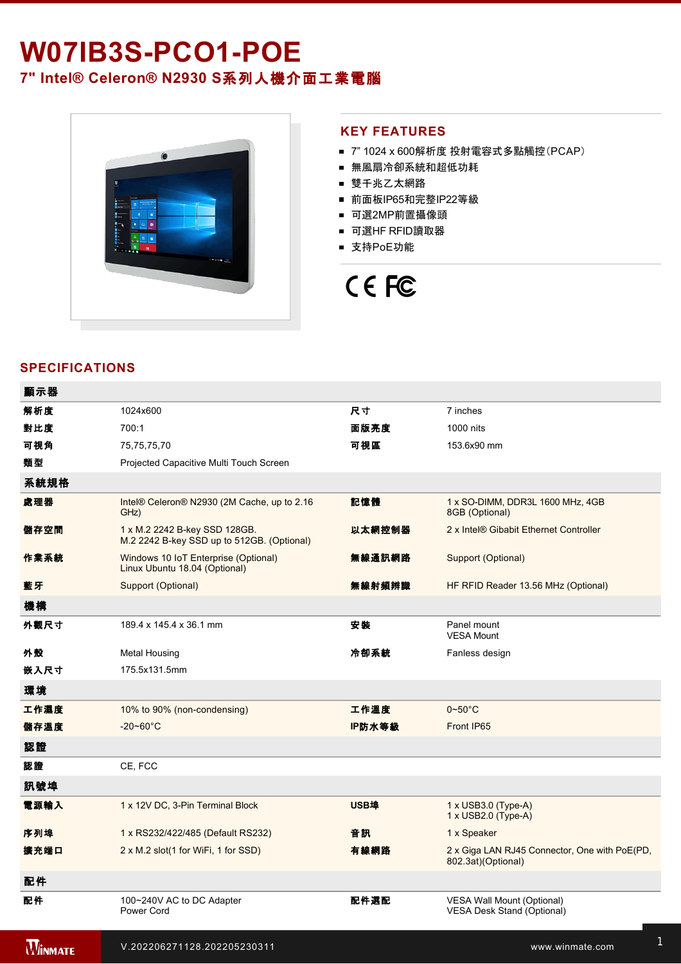## W07IB3S-PCO1-POE **7" Intel® Celeron® N2930 S**系列人機介面工業電腦



#### **KEY FEATURES**

- 7" 1024 x 600解析度 投射電容式多點觸控(PCAP)
- 無風扇冷卻系統和超低功耗
- 雙千兆乙太網路
- 前面板IP65和完整IP22等級
- 可選2MP前置攝像頭
- 可選HF RFID讀取器
- 支持PoE功能

# CE FC

#### **SPECIFICATIONS**

| 顯示器            |                                                                             |             |                                                                     |
|----------------|-----------------------------------------------------------------------------|-------------|---------------------------------------------------------------------|
| 解析度            | 1024x600                                                                    | 尺寸          | 7 inches                                                            |
| 對比度            | 700:1                                                                       | 面版亮度        | 1000 nits                                                           |
| 可視角            | 75,75,75,70                                                                 | 可視區         | 153.6x90 mm                                                         |
| 類型             | Projected Capacitive Multi Touch Screen                                     |             |                                                                     |
| 系統規格           |                                                                             |             |                                                                     |
| 處理器            | Intel® Celeron® N2930 (2M Cache, up to 2.16<br>GHz)                         | 記憶體         | 1 x SO-DIMM, DDR3L 1600 MHz, 4GB<br>8GB (Optional)                  |
| 儲存空間           | 1 x M.2 2242 B-key SSD 128GB.<br>M.2 2242 B-key SSD up to 512GB. (Optional) | 以太網控制器      | 2 x Intel® Gibabit Ethernet Controller                              |
| 作業系統           | Windows 10 IoT Enterprise (Optional)<br>Linux Ubuntu 18.04 (Optional)       | 無線通訊網路      | Support (Optional)                                                  |
| 藍牙             | Support (Optional)                                                          | 無線射頻辨識      | HF RFID Reader 13.56 MHz (Optional)                                 |
| 機構             |                                                                             |             |                                                                     |
| 外觀尺寸           | 189.4 x 145.4 x 36.1 mm                                                     | 安装          | Panel mount<br><b>VESA Mount</b>                                    |
| 外殼             | <b>Metal Housing</b>                                                        | 冷卻系統        | Fanless design                                                      |
| 嵌入尺寸           | 175.5x131.5mm                                                               |             |                                                                     |
| 環境             |                                                                             |             |                                                                     |
| 工作濕度           | 10% to 90% (non-condensing)                                                 | 工作溫度        | $0\nthicksim50^{\circ}$ C                                           |
| 儲存溫度           | $-20 - 60^{\circ}$ C                                                        | IP防水等級      | Front IP65                                                          |
| 認證             |                                                                             |             |                                                                     |
| 認證             | CE, FCC                                                                     |             |                                                                     |
| 訊號埠            |                                                                             |             |                                                                     |
| 電源輸入           | 1 x 12V DC, 3-Pin Terminal Block                                            | <b>USB埠</b> | 1 x USB3.0 (Type-A)<br>1 x USB2.0 (Type-A)                          |
| 序列埠            | 1 x RS232/422/485 (Default RS232)                                           | 音訊          | 1 x Speaker                                                         |
| 擴充端口           | 2 x M.2 slot(1 for WiFi, 1 for SSD)                                         | 有線網路        | 2 x Giga LAN RJ45 Connector, One with PoE(PD,<br>802.3at)(Optional) |
| 配件             |                                                                             |             |                                                                     |
| 配件             | 100~240V AC to DC Adapter<br>Power Cord                                     | 配件選配        | VESA Wall Mount (Optional)<br><b>VESA Desk Stand (Optional)</b>     |
| <b>WINMATE</b> | V.202206271128.202205230311                                                 |             | www.winmate.com                                                     |